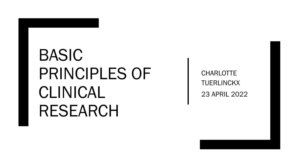# BASIC PRINCIPLES OF CLINICAL RESEARCH

**CHARLOTTE TUERLINCKX** 23 APRIL 2022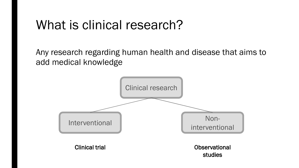### What is clinical research?

Any research regarding human health and disease that aims to add medical knowledge

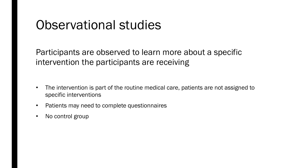#### Observational studies

Participants are observed to learn more about a specific intervention the participants are receiving

- The intervention is part of the routine medical care, patients are not assigned to specific interventions
- Patients may need to complete questionnaires
- No control group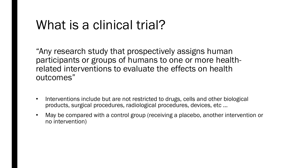## What is a clinical trial?

"Any research study that prospectively assigns human participants or groups of humans to one or more healthrelated interventions to evaluate the effects on health outcomes"

- Interventions include but are not restricted to drugs, cells and other biological products, surgical procedures, radiological procedures, devices, etc …
- May be compared with a control group (receiving a placebo, another intervention or no intervention)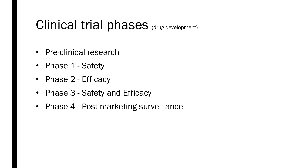#### Clinical trial phases (drug development)

- Pre-clinical research
- Phase 1 Safety
- Phase 2 Efficacy
- Phase 3 Safety and Efficacy
- Phase 4 Post marketing surveillance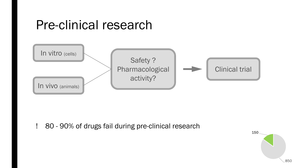#### Pre-clinical research



! 80 - 90% of drugs fail during pre-clinical research

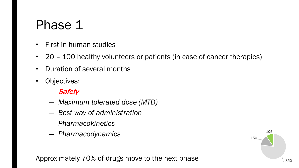- First-in-human studies
- 20 100 healthy volunteers or patients (in case of cancer therapies)
- Duration of several months
- Objectives:
	- ― Safety
	- ― *Maximum tolerated dose (MTD)*
	- ― *Best way of administration*
	- ― *Pharmacokinetics*
	- ― *Pharmacodynamics*

Approximately 70% of drugs move to the next phase  $\log_{10}$   $\log_{10}$ 

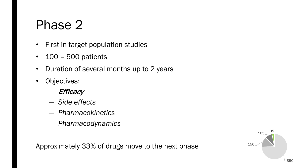- First in target population studies
- 100 500 patients
- Duration of several months up to 2 years
- Objectives:
	- ― Efficacy
	- ― *Side effects*
	- ― *Pharmacokinetics*
	- ― *Pharmacodynamics*

Approximately 33% of drugs move to the next phase

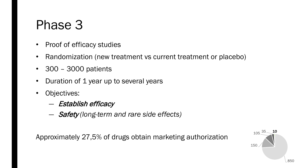- Proof of efficacy studies
- Randomization (new treatment vs current treatment or placebo)
- 300 3000 patients
- Duration of 1 year up to several years
- Objectives:
	- ― Establish efficacy
	- ― Safety *(long-term and rare side effects)*

Approximately 27,5% of drugs obtain marketing authorization

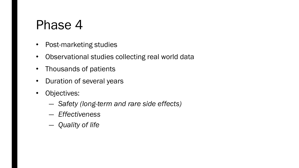- Post-marketing studies
- Observational studies collecting real world data
- Thousands of patients
- Duration of several years
- Objectives:
	- ― *Safety (long-term and rare side effects)*
	- ― *Effectiveness*
	- ― *Quality of life*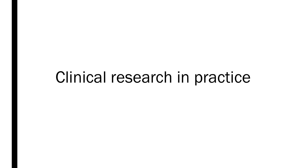# Clinical research in practice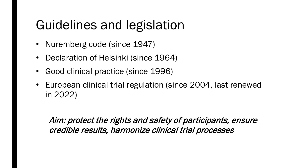# Guidelines and legislation

- Nuremberg code (since 1947)
- Declaration of Helsinki (since 1964)
- Good clinical practice (since 1996)
- European clinical trial regulation (since 2004, last renewed in 2022)

Aim: protect the rights and safety of participants, ensure credible results, harmonize clinical trial processes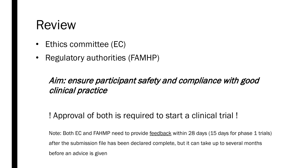#### Review

- Ethics committee (EC)
- Regulatory authorities (FAMHP)

#### Aim: ensure participant safety and compliance with good clinical practice

#### ! Approval of both is required to start a clinical trial !

Note: Both EC and FAHMP need to provide feedback within 28 days (15 days for phase 1 trials) after the submission file has been declared complete, but it can take up to several months before an advice is given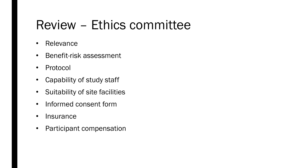# Review – Ethics committee

- Relevance
- Benefit-risk assessment
- Protocol
- Capability of study staff
- Suitability of site facilities
- Informed consent form
- Insurance
- Participant compensation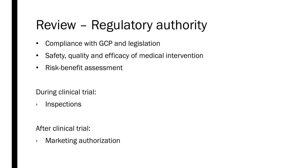# Review – Regulatory authority

- Compliance with GCP and legislation
- Safety, quality and efficacy of medical intervention
- Risk-benefit assessment

During clinical trial:

› Inspections

After clinical trial:

› Marketing authorization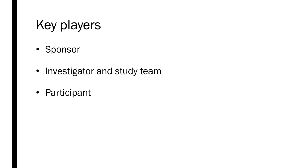# Key players

- Sponsor
- Investigator and study team
- Participant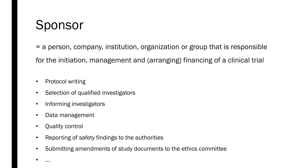# Sponsor

= a person, company, institution, organization or group that is responsible for the initiation, management and (arranging) financing of a clinical trial

- Protocol writing
- Selection of qualified investigators
- Informing investigators
- Data management
- Quality control
- Reporting of safety findings to the authorities
- Submitting amendments of study documents to the ethics committee
- …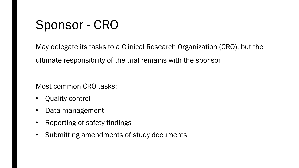# Sponsor - CRO

May delegate its tasks to a Clinical Research Organization (CRO), but the ultimate responsibility of the trial remains with the sponsor

Most common CRO tasks:

- Quality control
- Data management
- Reporting of safety findings
- Submitting amendments of study documents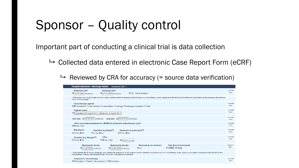# Sponsor – Quality control

Important part of conducting a clinical trial is data collection

 $\rightarrow$  Collected data entered in electronic Case Report Form (eCRF)

 $\rightarrow$  Reviewed by CRA for accuracy (= source data verification)

| Hospital admission - discharge details<br>Document-No. 6584 - 1                                                                                                                                                                                                                                               |                  |
|---------------------------------------------------------------------------------------------------------------------------------------------------------------------------------------------------------------------------------------------------------------------------------------------------------------|------------------|
| <b>Admission Date</b><br>Discharge Date *<br>→ 25.08.2020 dd.mm.yyyy<br>○ 24.09.2020 dd.mm.yyyy<br>$\Theta$ $\square$<br>Not discharged *                                                                                                                                                                     | Comment<br>Query |
| * If the patient was not discharged until next cycle is started (patient not leaving hospital between two chemotherapy cycles), please enter the last day before the next cycle initiation as the discharge date and then<br>check "Not discharged".                                                          |                  |
| Chemotherapy regimen<br>⊖⊙1st induction O2nd induction OConsolidation OSalvage OAutologous transplant OOther                                                                                                                                                                                                  | Comment<br>Query |
| <b>Regimen name</b><br>⊖ Cytarabine 200 mg/m2 D1-7, Idarubicine 12 mg/m2 D1-3                                                                                                                                                                                                                                 | Comment<br>Query |
| Stop date $\bigcirc$ 05.09.2020 dd.mm.yyyy                                                                                                                                                                                                                                                                    | Comment<br>Query |
| Other concomitant treatment for LMA/MDSit during this chemotherapy cycle?<br>$\odot$ Yes $\odot$ No                                                                                                                                                                                                           | Comment<br>Query |
| <b>Midostaurin</b><br>Azacitidin (e.g.Vidaza®)<br>Venetoclax (e.g.Venclyxto <sup>®</sup> )<br>$\odot$ Yes $\odot$ No<br>OOYes ONo<br>$\odot$ Yes $\odot$ No                                                                                                                                                   | Comment<br>Query |
| Other<br>Decitabin (e.g. Dacogen <sup>®</sup> )<br>OOYes ONo<br>$\odot$ Yes $\odot$ No<br>Gemtuzumab                                                                                                                                                                                                          | Comment<br>Query |
| Neutropenia 1st day<br>Neutropenia last day *<br>Neutropenia not resolved *<br><b>Total days of neutropenia</b><br>⊝<br>Score 25 days<br>$\Theta$ $\square$<br>→ 24.09.2020 dd.mm.yyyy<br>□ 31.08.2020 dd.mm.yyyy                                                                                             | Comment<br>Query |
| * If neutropenia did not resolve during this cycle (patient still neutropenic at discharge or if patient remained hospitalized until next chemotherapy cycle), please use the date of discharge or last day before next<br>chemotherapy cycle as "Neutropenia last day" and check "Neutropenia not resolved". |                  |
| <b>Response to chemotherapy</b><br>⊖© Complete O Partial O No response O PBM not done                                                                                                                                                                                                                         | Comment<br>Query |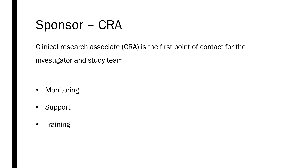## Sponsor – CRA

Clinical research associate (CRA) is the first point of contact for the investigator and study team

- Monitoring
- Support
- Training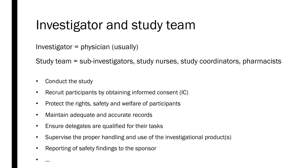## Investigator and study team

```
Investigator = physician (usually)
```
Study team = sub-investigators, study nurses, study coordinators, pharmacists

Conduct the study

• …

- Recruit participants by obtaining informed consent (IC)
- Protect the rights, safety and welfare of participants
- Maintain adequate and accurate records
- Ensure delegates are qualified for their tasks
- Supervise the proper handling and use of the investigational product(s)
- Reporting of safety findings to the sponsor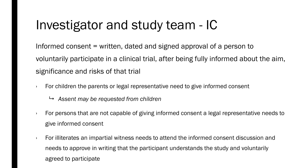# Investigator and study team - IC

Informed consent = written, dated and signed approval of a person to voluntarily participate in a clinical trial, after being fully informed about the aim, significance and risks of that trial

- $\cdot$  For children the parents or legal representative need to give informed consent
	- *Assent may be requested from children*
- $\cdot$  For persons that are not capable of giving informed consent a legal representative needs to give informed consent
- $\cdot$  For illiterates an impartial witness needs to attend the informed consent discussion and needs to approve in writing that the participant understands the study and voluntarily agreed to participate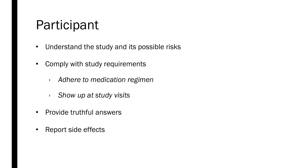## Participant

- Understand the study and its possible risks
- Comply with study requirements
	- › *Adhere to medication regimen*
	- › *Show up at study visits*
- Provide truthful answers
- Report side effects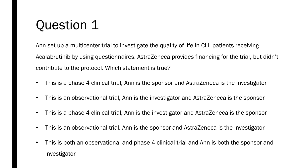Ann set up a multicenter trial to investigate the quality of life in CLL patients receiving Acalabrutinib by using questionnaires. AstraZeneca provides financing for the trial, but didn't contribute to the protocol. Which statement is true?

- This is a phase 4 clinical trial, Ann is the sponsor and AstraZeneca is the investigator
- This is an observational trial, Ann is the investigator and AstraZeneca is the sponsor
- This is a phase 4 clinical trial, Ann is the investigator and AstraZeneca is the sponsor
- This is an observational trial, Ann is the sponsor and AstraZeneca is the investigator
- This is both an observational and phase 4 clinical trial and Ann is both the sponsor and investigator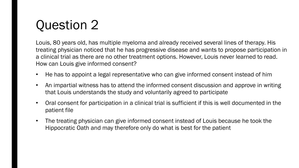Louis, 80 years old, has multiple myeloma and already received several lines of therapy. His treating physician noticed that he has progressive disease and wants to propose participation in a clinical trial as there are no other treatment options. However, Louis never learned to read. How can Louis give informed consent?

- He has to appoint a legal representative who can give informed consent instead of him
- An impartial witness has to attend the informed consent discussion and approve in writing that Louis understands the study and voluntarily agreed to participate
- Oral consent for participation in a clinical trial is sufficient if this is well documented in the patient file
- The treating physician can give informed consent instead of Louis because he took the Hippocratic Oath and may therefore only do what is best for the patient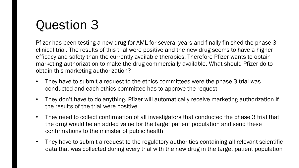Pfizer has been testing a new drug for AML for several years and finally finished the phase 3 clinical trial. The results of this trial were positive and the new drug seems to have a higher efficacy and safety than the currently available therapies. Therefore Pfizer wants to obtain marketing authorization to make the drug commercially available. What should Pfizer do to obtain this marketing authorization?

- They have to submit a request to the ethics committees were the phase 3 trial was conducted and each ethics committee has to approve the request
- They don't have to do anything. Pfizer will automatically receive marketing authorization if the results of the trial were positive
- They need to collect confirmation of all investigators that conducted the phase 3 trial that the drug would be an added value for the target patient population and send these confirmations to the minister of public health
- They have to submit a request to the regulatory authorities containing all relevant scientific data that was collected during every trial with the new drug in the target patient population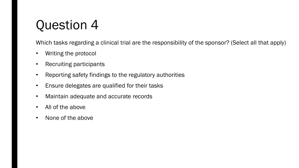Which tasks regarding a clinical trial are the responsibility of the sponsor? (Select all that apply)

- Writing the protocol
- Recruiting participants
- Reporting safety findings to the regulatory authorities
- Ensure delegates are qualified for their tasks
- Maintain adequate and accurate records
- All of the above
- None of the above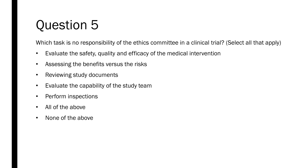Which task is no responsibility of the ethics committee in a clinical trial? (Select all that apply)

- Evaluate the safety, quality and efficacy of the medical intervention
- Assessing the benefits versus the risks
- Reviewing study documents
- Evaluate the capability of the study team
- Perform inspections
- All of the above
- None of the above